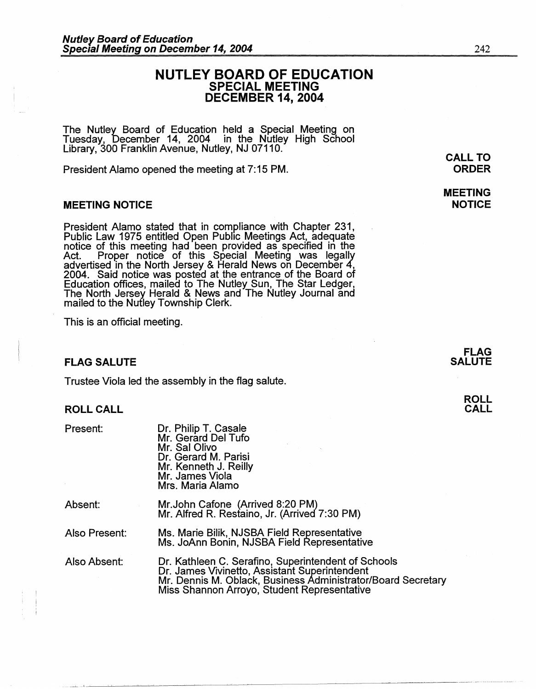# **NUTLEY BOARD OF EDUCATION SPECIAL MEETING DECEMBER 14, 2004**

The Nutley Board of Education held a Special Meeting on Tuesday, December 14, 2004 in the Nutley High School Library, 300 Franklin Avenue, Nutley, NJ 07110.

President Alamo opened the meeting at 7: 15 PM.

#### **MEETING NOTICE**

President Alamo stated that in compliance with Chapter 231, Public Law 1975 entitled Open Pubhc Meetings Act, adequate notice of this meeting had been provided as specified in the Act. Proper notice of this Special Meeting was legally advertised in the North Jersey & Herald News on December 4, 2004. Said notice was posted at the entrance of the Board of Education offices, mailed to The Nutley Sun, The Star Ledger, The North Jersey Herald & News and The Nutley Journal and mailed to the Nutley Township Clerk.

This is an official meeting.

## **FLAG SALUTE**

Trustee Viola led the assembly in the flag salute.

#### **ROLL CALL**

Present:

| Dr. Philip T. Casale<br>Mr. Gerard Del Tufo |  |
|---------------------------------------------|--|
|                                             |  |
| Mr. Sal Olivo                               |  |
| Dr. Gerard M. Parisi                        |  |
| Mr. Kenneth J. Reilly                       |  |
| Mr. James Viola                             |  |
| Mrs. Maria Alamo                            |  |
|                                             |  |

| Absent: | Mr. John Cafone (Arrived 8:20 PM)<br>Mr. Alfred R. Restaino, Jr. (Arrived 7:30 PM) |
|---------|------------------------------------------------------------------------------------|
|         |                                                                                    |

- Also Present: Ms. Marie Bilik, NJSBA Field Representative Ms. JoAnn Bonin, NJSBA Field Representative
- Also Absent: Dr. Kathleen C. Serafino, Superintendent of Schools Dr. James Vivinetto, Assistant Superintendent Mr. Dennis M. Oblack, Business Administrator/Board Secretary Miss Shannon Arroyo, Student Representative

**CALL TO ORDER** 

**MEETING NOTICE** 

# **FLAG SALUTE**